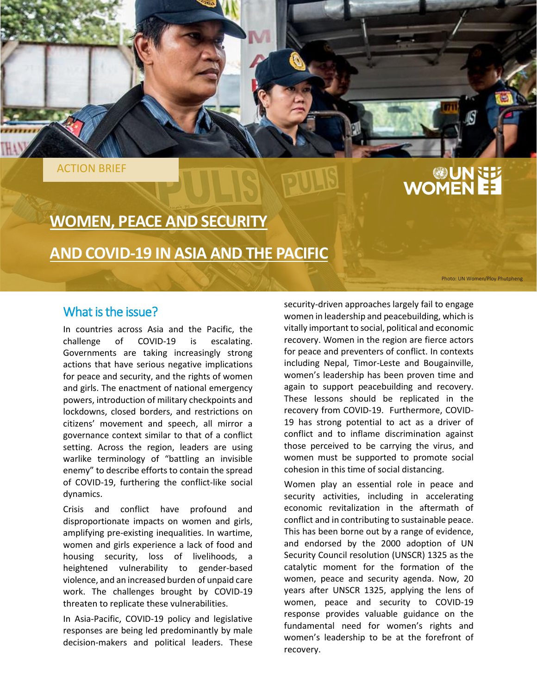ACTION BRIEF

# **UN EN EN EN ETA**

# **WOMEN, PEACE AND SECURITY**

**AND COVID-19 IN ASIA AND THE PACIFIC**

Photo: UN Women/Ploy Phutpheng

### What is the issue?

In countries across Asia and the Pacific, the challenge of COVID-19 is escalating. Governments are taking increasingly strong actions that have serious negative implications for peace and security, and the rights of women and girls. The enactment of national emergency powers, introduction of military checkpoints and lockdowns, closed borders, and restrictions on citizens' movement and speech, all mirror a governance context similar to that of a conflict setting. Across the region, leaders are using warlike terminology of "battling an invisible enemy" to describe efforts to contain the spread of COVID-19, furthering the conflict-like social dynamics.

Crisis and conflict have profound and disproportionate impacts on women and girls, amplifying pre-existing inequalities. In wartime, women and girls experience a lack of food and housing security, loss of livelihoods, a heightened vulnerability to gender-based violence, and an increased burden of unpaid care work. The challenges brought by COVID-19 threaten to replicate these vulnerabilities.

In Asia-Pacific, COVID-19 policy and legislative responses are being led predominantly by male decision-makers and political leaders. These

security-driven approaches largely fail to engage women in leadership and peacebuilding, which is vitally important to social, political and economic recovery. Women in the region are fierce actors for peace and preventers of conflict. In contexts including Nepal, Timor-Leste and Bougainville, women's leadership has been proven time and again to support peacebuilding and recovery. These lessons should be replicated in the recovery from COVID-19. Furthermore, COVID-19 has strong potential to act as a driver of conflict and to inflame discrimination against those perceived to be carrying the virus, and women must be supported to promote social cohesion in this time of social distancing.

Women play an essential role in peace and security activities, including in accelerating economic revitalization in the aftermath of conflict and in contributing to sustainable peace. This has been borne out by a range of evidence, and endorsed by the 2000 adoption of UN Security Council resolution (UNSCR) 1325 as the catalytic moment for the formation of the women, peace and security agenda. Now, 20 years after UNSCR 1325, applying the lens of women, peace and security to COVID-19 response provides valuable guidance on the fundamental need for women's rights and women's leadership to be at the forefront of recovery.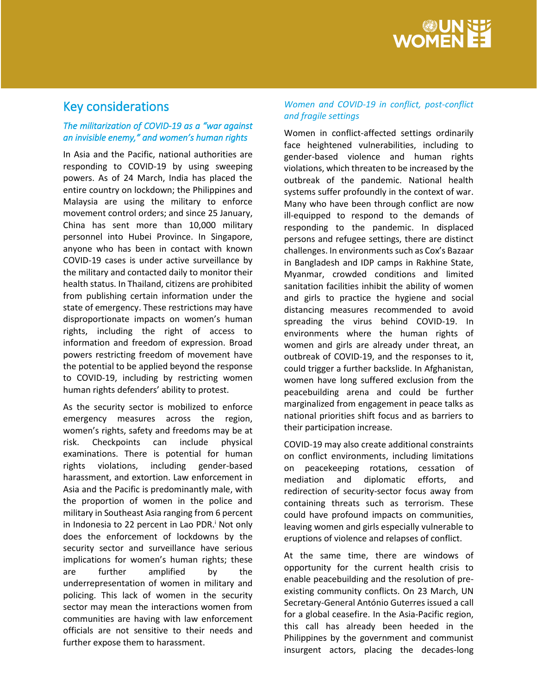

## Key considerations

#### *The militarization of COVID-19 as a "war against an invisible enemy," and women's human rights*

In Asia and the Pacific, national authorities are responding to COVID-19 by using sweeping powers. As of 24 March, India has placed the entire country on lockdown; the Philippines and Malaysia are using the military to enforce movement control orders; and since 25 January, China has sent more than 10,000 military personnel into Hubei Province. In Singapore, anyone who has been in contact with known COVID-19 cases is under active surveillance by the military and contacted daily to monitor their health status. In Thailand, citizens are prohibited from publishing certain information under the state of emergency. These restrictions may have disproportionate impacts on women's human rights, including the right of access to information and freedom of expression. Broad powers restricting freedom of movement have the potential to be applied beyond the response to COVID-19, including by restricting women human rights defenders' ability to protest.

As the security sector is mobilized to enforce emergency measures across the region, women's rights, safety and freedoms may be at risk. Checkpoints can include physical examinations. There is potential for human rights violations, including gender-based harassment, and extortion. Law enforcement in Asia and the Pacific is predominantly male, with the proportion of women in the police and military in Southeast Asia ranging from 6 percent in Indonesia to 22 percent in Lao PDR.<sup>i</sup> Not only does the enforcement of lockdowns by the security sector and surveillance have serious implications for women's human rights; these are further amplified by the underrepresentation of women in military and policing. This lack of women in the security sector may mean the interactions women from communities are having with law enforcement officials are not sensitive to their needs and further expose them to harassment.

#### *Women and COVID-19 in conflict, post-conflict and fragile settings*

Women in conflict-affected settings ordinarily face heightened vulnerabilities, including to gender-based violence and human rights violations, which threaten to be increased by the outbreak of the pandemic. National health systems suffer profoundly in the context of war. Many who have been through conflict are now ill-equipped to respond to the demands of responding to the pandemic. In displaced persons and refugee settings, there are distinct challenges. In environments such as Cox's Bazaar in Bangladesh and IDP camps in Rakhine State, Myanmar, crowded conditions and limited sanitation facilities inhibit the ability of women and girls to practice the hygiene and social distancing measures recommended to avoid spreading the virus behind COVID-19. In environments where the human rights of women and girls are already under threat, an outbreak of COVID-19, and the responses to it, could trigger a further backslide. In Afghanistan, women have long suffered exclusion from the peacebuilding arena and could be further marginalized from engagement in peace talks as national priorities shift focus and as barriers to their participation increase.

COVID-19 may also create additional constraints on conflict environments, including limitations on peacekeeping rotations, cessation of mediation and diplomatic efforts, and redirection of security-sector focus away from containing threats such as terrorism. These could have profound impacts on communities, leaving women and girls especially vulnerable to eruptions of violence and relapses of conflict.

At the same time, there are windows of opportunity for the current health crisis to enable peacebuilding and the resolution of preexisting community conflicts. On 23 March, UN Secretary-General António Guterres issued a call for a global ceasefire. In the Asia-Pacific region, this call has already been heeded in the Philippines by the government and communist insurgent actors, placing the decades-long